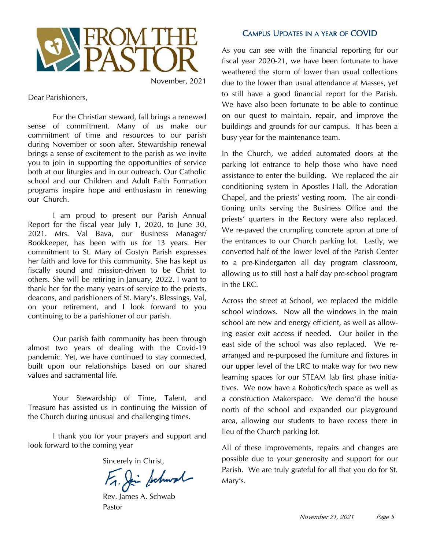

November, 2021

Dear Parishioners,

 For the Christian steward, fall brings a renewed sense of commitment. Many of us make our commitment of time and resources to our parish during November or soon after. Stewardship renewal brings a sense of excitement to the parish as we invite you to join in supporting the opportunities of service both at our liturgies and in our outreach. Our Catholic school and our Children and Adult Faith Formation programs inspire hope and enthusiasm in renewing our Church.

 I am proud to present our Parish Annual Report for the fiscal year July 1, 2020, to June 30, 2021. Mrs. Val Bava, our Business Manager/ Bookkeeper, has been with us for 13 years. Her commitment to St. Mary of Gostyn Parish expresses her faith and love for this community. She has kept us fiscally sound and mission-driven to be Christ to others. She will be retiring in January, 2022. I want to thank her for the many years of service to the priests, deacons, and parishioners of St. Mary's. Blessings, Val, on your retirement, and I look forward to you continuing to be a parishioner of our parish.

 Our parish faith community has been through almost two years of dealing with the Covid-19 pandemic. Yet, we have continued to stay connected, built upon our relationships based on our shared values and sacramental life.

 Your Stewardship of Time, Talent, and Treasure has assisted us in continuing the Mission of the Church during unusual and challenging times.

 I thank you for your prayers and support and look forward to the coming year

Sincerely in Christ,

Rev. James A. Schwab Pastor

## CAMPUS UPDATES IN A YEAR OF COVID

As you can see with the financial reporting for our fiscal year 2020-21, we have been fortunate to have weathered the storm of lower than usual collections due to the lower than usual attendance at Masses, yet to still have a good financial report for the Parish. We have also been fortunate to be able to continue on our quest to maintain, repair, and improve the buildings and grounds for our campus. It has been a busy year for the maintenance team.

In the Church, we added automated doors at the parking lot entrance to help those who have need assistance to enter the building. We replaced the air conditioning system in Apostles Hall, the Adoration Chapel, and the priests' vesting room. The air conditioning units serving the Business Office and the priests' quarters in the Rectory were also replaced. We re-paved the crumpling concrete apron at one of the entrances to our Church parking lot. Lastly, we converted half of the lower level of the Parish Center to a pre-Kindergarten all day program classroom, allowing us to still host a half day pre-school program in the LRC.

Across the street at School, we replaced the middle school windows. Now all the windows in the main school are new and energy efficient, as well as allowing easier exit access if needed. Our boiler in the east side of the school was also replaced. We rearranged and re-purposed the furniture and fixtures in our upper level of the LRC to make way for two new learning spaces for our STEAM lab first phase initiatives. We now have a Robotics/tech space as well as a construction Makerspace. We demo'd the house north of the school and expanded our playground area, allowing our students to have recess there in lieu of the Church parking lot.

All of these improvements, repairs and changes are possible due to your generosity and support for our Parish. We are truly grateful for all that you do for St. Mary's.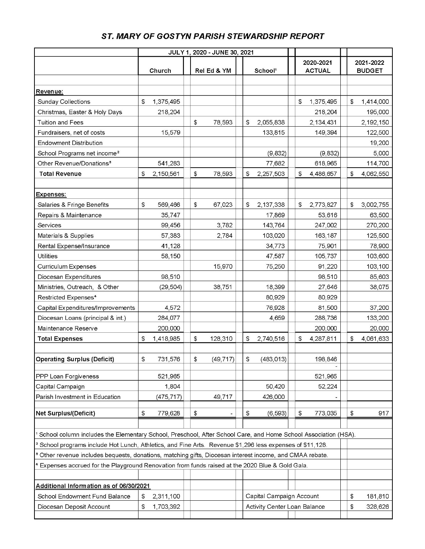## ST. MARY OF GOSTYN PARISH STEWARDSHIP REPORT

|                                                                                                                                                                                                                                        | JULY 1, 2020 - JUNE 30, 2021 |            |  |                        |  |                          |                              |  |                            |           |  |                           |                            |
|----------------------------------------------------------------------------------------------------------------------------------------------------------------------------------------------------------------------------------------|------------------------------|------------|--|------------------------|--|--------------------------|------------------------------|--|----------------------------|-----------|--|---------------------------|----------------------------|
|                                                                                                                                                                                                                                        | Church                       |            |  | Rel Ed & YM            |  | School <sup>1</sup>      |                              |  | 2020-2021<br><b>ACTUAL</b> |           |  |                           | 2021-2022<br><b>BUDGET</b> |
|                                                                                                                                                                                                                                        |                              |            |  |                        |  |                          |                              |  |                            |           |  |                           |                            |
| Revenue:                                                                                                                                                                                                                               |                              |            |  |                        |  |                          |                              |  |                            |           |  |                           |                            |
| <b>Sunday Collections</b>                                                                                                                                                                                                              | \$                           | 1,375,495  |  |                        |  |                          |                              |  | \$                         | 1,375,495 |  | \$                        | 1,414,000                  |
| Christmas, Easter & Holy Days                                                                                                                                                                                                          |                              | 218,204    |  |                        |  |                          |                              |  |                            | 218,204   |  |                           | 195,000                    |
| <b>Tuition and Fees</b>                                                                                                                                                                                                                |                              |            |  | \$<br>78,593           |  | \$                       | 2,055,838                    |  |                            | 2,134,431 |  |                           | 2,192,150                  |
| Fundraisers, net of costs                                                                                                                                                                                                              |                              | 15,579     |  |                        |  |                          | 133,815                      |  |                            | 149,394   |  |                           | 122,500                    |
| <b>Endowment Distribution</b>                                                                                                                                                                                                          |                              |            |  |                        |  |                          |                              |  |                            |           |  |                           | 19,200                     |
| School Programs net income <sup>2</sup>                                                                                                                                                                                                |                              |            |  |                        |  |                          | (9,832)                      |  |                            | (9, 832)  |  |                           | 5,000                      |
| Other Revenue/Donations <sup>3</sup>                                                                                                                                                                                                   |                              | 541,283    |  |                        |  |                          | 77,682                       |  |                            | 618,965   |  |                           | 114,700                    |
| <b>Total Revenue</b>                                                                                                                                                                                                                   | \$                           | 2,150,561  |  | $\mathbb{S}$<br>78,593 |  | \$                       | 2,257,503                    |  | \$                         | 4,486,657 |  | \$                        | 4,062,550                  |
|                                                                                                                                                                                                                                        |                              |            |  |                        |  |                          |                              |  |                            |           |  |                           |                            |
| Expenses:                                                                                                                                                                                                                              |                              |            |  |                        |  |                          |                              |  |                            |           |  |                           |                            |
| Salaries & Fringe Benefits                                                                                                                                                                                                             | \$                           | 569,466    |  | \$<br>67,023           |  | \$                       | 2,137,338                    |  | \$                         | 2,773,827 |  | \$                        | 3,002,755                  |
| Repairs & Maintenance                                                                                                                                                                                                                  |                              | 35,747     |  |                        |  |                          | 17,869                       |  |                            | 53,616    |  |                           | 63,500                     |
| Services                                                                                                                                                                                                                               |                              | 99,456     |  | 3,782                  |  |                          | 143,764                      |  |                            | 247,002   |  |                           | 270,200                    |
| Materials & Supplies                                                                                                                                                                                                                   |                              | 57,383     |  | 2,784                  |  |                          | 103,020                      |  |                            | 163,187   |  |                           | 125,500                    |
| Rental Expense/Insurance                                                                                                                                                                                                               |                              | 41,128     |  |                        |  |                          | 34,773                       |  |                            | 75,901    |  |                           | 78,900                     |
| Utilities                                                                                                                                                                                                                              |                              | 58,150     |  |                        |  |                          | 47,587                       |  |                            | 105,737   |  |                           | 103,600                    |
| Curriculum Expenses                                                                                                                                                                                                                    |                              |            |  | 15,970                 |  |                          | 75,250                       |  |                            | 91,220    |  |                           | 103,100                    |
| Diocesan Expenditures                                                                                                                                                                                                                  |                              | 98,510     |  |                        |  |                          |                              |  |                            | 98,510    |  |                           | 85,603                     |
| Ministries, Outreach, & Other                                                                                                                                                                                                          |                              | (29, 504)  |  | 38,751                 |  |                          | 18,399                       |  |                            | 27,646    |  |                           | 38,075                     |
| Restricted Expenses <sup>4</sup>                                                                                                                                                                                                       |                              |            |  |                        |  |                          | 80,929                       |  |                            | 80,929    |  |                           |                            |
| Capital Expenditures/Improvements                                                                                                                                                                                                      |                              | 4,572      |  |                        |  |                          | 76,928                       |  |                            | 81,500    |  |                           | 37,200                     |
| Diocesan Loans (principal & int.)                                                                                                                                                                                                      |                              | 284,077    |  |                        |  |                          | 4,659                        |  |                            | 288,736   |  |                           | 133,200                    |
| Maintenance Reserve                                                                                                                                                                                                                    |                              | 200,000    |  |                        |  |                          |                              |  |                            | 200,000   |  |                           | 20,000                     |
| <b>Total Expenses</b>                                                                                                                                                                                                                  | \$                           | 1,418,985  |  | \$<br>128,310          |  | \$                       | 2,740,516                    |  | \$                         | 4,287,811 |  | \$                        | 4,061,633                  |
| <b>Operating Surplus (Deficit)</b>                                                                                                                                                                                                     | $\mathbb{S}$                 | 731,576    |  | \$<br>(49, 717)        |  | $\mathbb{S}$             | (483, 013)                   |  |                            | 198,846   |  |                           |                            |
|                                                                                                                                                                                                                                        |                              |            |  |                        |  |                          |                              |  |                            |           |  |                           |                            |
| PPP Loan Forgiveness                                                                                                                                                                                                                   |                              | 521,965    |  |                        |  |                          |                              |  |                            | 521,965   |  |                           |                            |
| Capital Campaign                                                                                                                                                                                                                       |                              | 1,804      |  |                        |  |                          | 50,420                       |  |                            | 52,224    |  |                           |                            |
| Parish Investment in Education                                                                                                                                                                                                         |                              | (475, 717) |  | 49,717                 |  |                          | 426,000                      |  |                            |           |  |                           |                            |
| Net Surplus/(Deficit)                                                                                                                                                                                                                  | \$                           | 779,628    |  | \$                     |  | \$                       | (6, 593)                     |  | \$                         | 773,035   |  | $\boldsymbol{\mathsf{s}}$ | 917                        |
|                                                                                                                                                                                                                                        |                              |            |  |                        |  |                          |                              |  |                            |           |  |                           |                            |
| School column includes the Elementary School, Preschool, After School Care, and Home School Association (HSA).<br><sup>2</sup> School programs include Hot Lunch, Athletics, and Fine Arts. Revenue \$1,296 less expenses of \$11,128. |                              |            |  |                        |  |                          |                              |  |                            |           |  |                           |                            |
| Other revenue includes bequests, donations, matching gifts, Diocesan interest income, and CMAA rebate.                                                                                                                                 |                              |            |  |                        |  |                          |                              |  |                            |           |  |                           |                            |
| Expenses accrued for the Playground Renovation from funds raised at the 2020 Blue & Gold Gala.                                                                                                                                         |                              |            |  |                        |  |                          |                              |  |                            |           |  |                           |                            |
|                                                                                                                                                                                                                                        |                              |            |  |                        |  |                          |                              |  |                            |           |  |                           |                            |
| Additional Information as of 06/30/2021                                                                                                                                                                                                |                              |            |  |                        |  |                          |                              |  |                            |           |  |                           |                            |
| School Endowment Fund Balance                                                                                                                                                                                                          | \$<br>2,311,100              |            |  |                        |  | Capital Campaign Account |                              |  |                            |           |  | \$                        | 181,810                    |
| Diocesan Deposit Account                                                                                                                                                                                                               | \$                           | 1,703,392  |  |                        |  |                          | Activity Center Loan Balance |  |                            |           |  | \$                        | 328,626                    |
|                                                                                                                                                                                                                                        |                              |            |  |                        |  |                          |                              |  |                            |           |  |                           |                            |